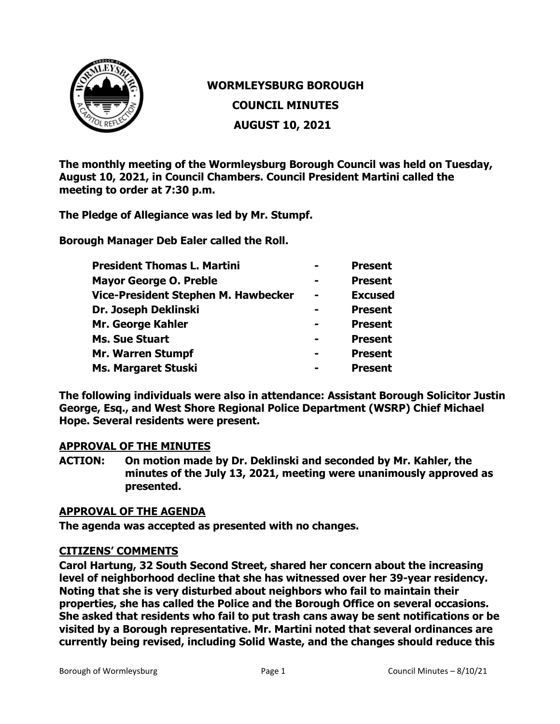

# **WORMLEYSBURG BOROUGH**

**COUNCIL MINUTES**

**AUGUST 10, 2021**

**The monthly meeting of the Wormleysburg Borough Council was held on Tuesday, August 10, 2021, in Council Chambers. Council President Martini called the meeting to order at 7:30 p.m.**

**The Pledge of Allegiance was led by Mr. Stumpf.**

**Borough Manager Deb Ealer called the Roll.**

| <b>President Thomas L. Martini</b>  |                | <b>Present</b> |
|-------------------------------------|----------------|----------------|
| <b>Mayor George O. Preble</b>       |                | <b>Present</b> |
| Vice-President Stephen M. Hawbecker | $\blacksquare$ | <b>Excused</b> |
| Dr. Joseph Deklinski                |                | <b>Present</b> |
| Mr. George Kahler                   |                | <b>Present</b> |
| <b>Ms. Sue Stuart</b>               |                | <b>Present</b> |
| <b>Mr. Warren Stumpf</b>            |                | <b>Present</b> |
| <b>Ms. Margaret Stuski</b>          |                | <b>Present</b> |

**The following individuals were also in attendance: Assistant Borough Solicitor Justin George, Esq., and West Shore Regional Police Department (WSRP) Chief Michael Hope. Several residents were present.** 

# **APPROVAL OF THE MINUTES**

**ACTION: On motion made by Dr. Deklinski and seconded by Mr. Kahler, the minutes of the July 13, 2021, meeting were unanimously approved as presented.**

# **APPROVAL OF THE AGENDA**

**The agenda was accepted as presented with no changes.**

# **CITIZENS' COMMENTS**

**Carol Hartung, 32 South Second Street, shared her concern about the increasing level of neighborhood decline that she has witnessed over her 39-year residency. Noting that she is very disturbed about neighbors who fail to maintain their properties, she has called the Police and the Borough Office on several occasions. She asked that residents who fail to put trash cans away be sent notifications or be visited by a Borough representative. Mr. Martini noted that several ordinances are currently being revised, including Solid Waste, and the changes should reduce this**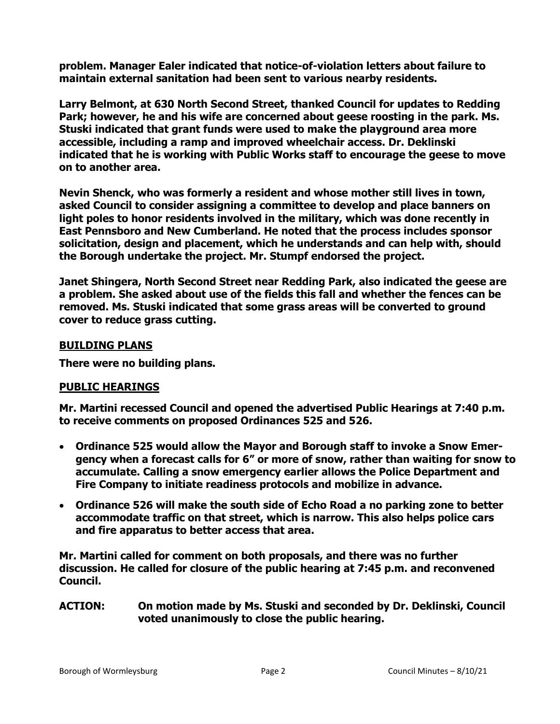**problem. Manager Ealer indicated that notice-of-violation letters about failure to maintain external sanitation had been sent to various nearby residents.**

**Larry Belmont, at 630 North Second Street, thanked Council for updates to Redding Park; however, he and his wife are concerned about geese roosting in the park. Ms. Stuski indicated that grant funds were used to make the playground area more accessible, including a ramp and improved wheelchair access. Dr. Deklinski indicated that he is working with Public Works staff to encourage the geese to move on to another area.**

**Nevin Shenck, who was formerly a resident and whose mother still lives in town, asked Council to consider assigning a committee to develop and place banners on light poles to honor residents involved in the military, which was done recently in East Pennsboro and New Cumberland. He noted that the process includes sponsor solicitation, design and placement, which he understands and can help with, should the Borough undertake the project. Mr. Stumpf endorsed the project.** 

**Janet Shingera, North Second Street near Redding Park, also indicated the geese are a problem. She asked about use of the fields this fall and whether the fences can be removed. Ms. Stuski indicated that some grass areas will be converted to ground cover to reduce grass cutting.** 

# **BUILDING PLANS**

**There were no building plans.** 

# **PUBLIC HEARINGS**

**Mr. Martini recessed Council and opened the advertised Public Hearings at 7:40 p.m. to receive comments on proposed Ordinances 525 and 526.** 

- **Ordinance 525 would allow the Mayor and Borough staff to invoke a Snow Emergency when a forecast calls for 6" or more of snow, rather than waiting for snow to accumulate. Calling a snow emergency earlier allows the Police Department and Fire Company to initiate readiness protocols and mobilize in advance.**
- **Ordinance 526 will make the south side of Echo Road a no parking zone to better accommodate traffic on that street, which is narrow. This also helps police cars and fire apparatus to better access that area.**

**Mr. Martini called for comment on both proposals, and there was no further discussion. He called for closure of the public hearing at 7:45 p.m. and reconvened Council.**

**ACTION: On motion made by Ms. Stuski and seconded by Dr. Deklinski, Council voted unanimously to close the public hearing.**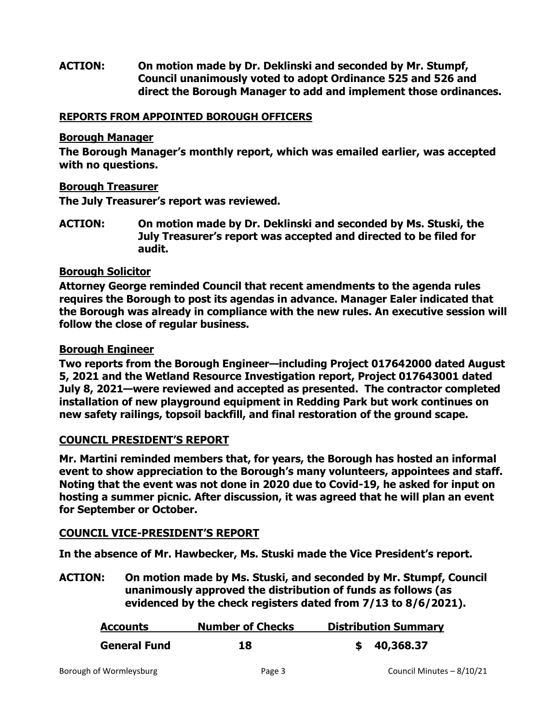# **ACTION: On motion made by Dr. Deklinski and seconded by Mr. Stumpf, Council unanimously voted to adopt Ordinance 525 and 526 and direct the Borough Manager to add and implement those ordinances.**

## **REPORTS FROM APPOINTED BOROUGH OFFICERS**

#### **Borough Manager**

**The Borough Manager's monthly report, which was emailed earlier, was accepted with no questions.**

#### **Borough Treasurer**

**The July Treasurer's report was reviewed.**

**ACTION: On motion made by Dr. Deklinski and seconded by Ms. Stuski, the July Treasurer's report was accepted and directed to be filed for audit.**

#### **Borough Solicitor**

**Attorney George reminded Council that recent amendments to the agenda rules requires the Borough to post its agendas in advance. Manager Ealer indicated that the Borough was already in compliance with the new rules. An executive session will follow the close of regular business.** 

# **Borough Engineer**

**Two reports from the Borough Engineer—including Project 017642000 dated August 5, 2021 and the Wetland Resource Investigation report, Project 017643001 dated July 8, 2021—were reviewed and accepted as presented. The contractor completed installation of new playground equipment in Redding Park but work continues on new safety railings, topsoil backfill, and final restoration of the ground scape.** 

# **COUNCIL PRESIDENT'S REPORT**

**Mr. Martini reminded members that, for years, the Borough has hosted an informal event to show appreciation to the Borough's many volunteers, appointees and staff. Noting that the event was not done in 2020 due to Covid-19, he asked for input on hosting a summer picnic. After discussion, it was agreed that he will plan an event for September or October.** 

# **COUNCIL VICE-PRESIDENT'S REPORT**

**In the absence of Mr. Hawbecker, Ms. Stuski made the Vice President's report.**

**ACTION: On motion made by Ms. Stuski, and seconded by Mr. Stumpf, Council unanimously approved the distribution of funds as follows (as evidenced by the check registers dated from 7/13 to 8/6/2021).**

| <b>Accounts</b>     | <b>Number of Checks</b> | <b>Distribution Summary</b> |
|---------------------|-------------------------|-----------------------------|
| <b>General Fund</b> | 18                      | \$40,368.37                 |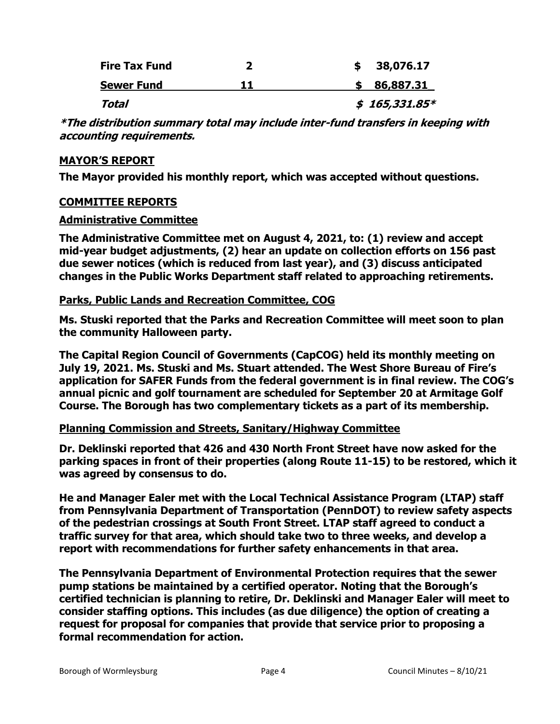| <b>Fire Tax Fund</b> | 38,076.17      |
|----------------------|----------------|
| <b>Sewer Fund</b>    | 86,887.31      |
| Total                | $$165,331.85*$ |

**\*The distribution summary total may include inter-fund transfers in keeping with accounting requirements.** 

#### **MAYOR'S REPORT**

**The Mayor provided his monthly report, which was accepted without questions.** 

#### **COMMITTEE REPORTS**

#### **Administrative Committee**

**The Administrative Committee met on August 4, 2021, to: (1) review and accept mid-year budget adjustments, (2) hear an update on collection efforts on 156 past due sewer notices (which is reduced from last year), and (3) discuss anticipated changes in the Public Works Department staff related to approaching retirements.**

#### **Parks, Public Lands and Recreation Committee, COG**

**Ms. Stuski reported that the Parks and Recreation Committee will meet soon to plan the community Halloween party.**

**The Capital Region Council of Governments (CapCOG) held its monthly meeting on July 19, 2021. Ms. Stuski and Ms. Stuart attended. The West Shore Bureau of Fire's application for SAFER Funds from the federal government is in final review. The COG's annual picnic and golf tournament are scheduled for September 20 at Armitage Golf Course. The Borough has two complementary tickets as a part of its membership.** 

# **Planning Commission and Streets, Sanitary/Highway Committee**

**Dr. Deklinski reported that 426 and 430 North Front Street have now asked for the parking spaces in front of their properties (along Route 11-15) to be restored, which it was agreed by consensus to do.**

**He and Manager Ealer met with the Local Technical Assistance Program (LTAP) staff from Pennsylvania Department of Transportation (PennDOT) to review safety aspects of the pedestrian crossings at South Front Street. LTAP staff agreed to conduct a traffic survey for that area, which should take two to three weeks, and develop a report with recommendations for further safety enhancements in that area.** 

**The Pennsylvania Department of Environmental Protection requires that the sewer pump stations be maintained by a certified operator. Noting that the Borough's certified technician is planning to retire, Dr. Deklinski and Manager Ealer will meet to consider staffing options. This includes (as due diligence) the option of creating a request for proposal for companies that provide that service prior to proposing a formal recommendation for action.**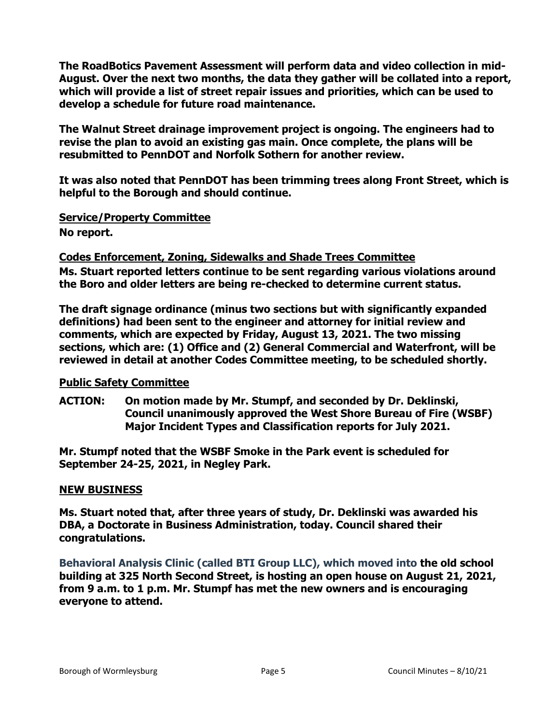**The RoadBotics Pavement Assessment will perform data and video collection in mid-August. Over the next two months, the data they gather will be collated into a report, which will provide a list of street repair issues and priorities, which can be used to develop a schedule for future road maintenance.** 

**The Walnut Street drainage improvement project is ongoing. The engineers had to revise the plan to avoid an existing gas main. Once complete, the plans will be resubmitted to PennDOT and Norfolk Sothern for another review.**

**It was also noted that PennDOT has been trimming trees along Front Street, which is helpful to the Borough and should continue.** 

**Service/Property Committee**

**No report.**

# **Codes Enforcement, Zoning, Sidewalks and Shade Trees Committee**

**Ms. Stuart reported letters continue to be sent regarding various violations around the Boro and older letters are being re-checked to determine current status.**

**The draft signage ordinance (minus two sections but with significantly expanded definitions) had been sent to the engineer and attorney for initial review and comments, which are expected by Friday, August 13, 2021. The two missing sections, which are: (1) Office and (2) General Commercial and Waterfront, will be reviewed in detail at another Codes Committee meeting, to be scheduled shortly.**

# **Public Safety Committee**

**ACTION: On motion made by Mr. Stumpf, and seconded by Dr. Deklinski, Council unanimously approved the West Shore Bureau of Fire (WSBF) Major Incident Types and Classification reports for July 2021.** 

**Mr. Stumpf noted that the WSBF Smoke in the Park event is scheduled for September 24-25, 2021, in Negley Park.** 

# **NEW BUSINESS**

**Ms. Stuart noted that, after three years of study, Dr. Deklinski was awarded his DBA, a Doctorate in Business Administration, today. Council shared their congratulations.**

**Behavioral Analysis Clinic (called BTI Group LLC), which moved into the old school building at 325 North Second Street, is hosting an open house on August 21, 2021, from 9 a.m. to 1 p.m. Mr. Stumpf has met the new owners and is encouraging everyone to attend.**